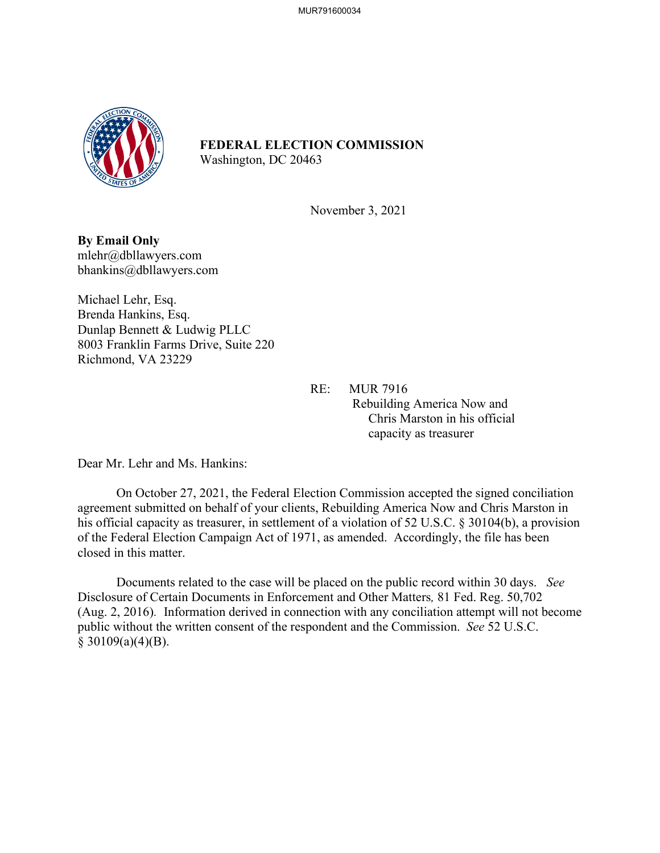

## **FEDERAL ELECTION COMMISSION**

Washington, DC 20463

November 3, 2021

**By Email Only** mlehr@dbllawyers.com bhankins@dbllawyers.com

Michael Lehr, Esq. Brenda Hankins, Esq. Dunlap Bennett & Ludwig PLLC 8003 Franklin Farms Drive, Suite 220 Richmond, VA 23229

> RE: MUR 7916 Rebuilding America Now and Chris Marston in his official capacity as treasurer

Dear Mr. Lehr and Ms. Hankins:

On October 27, 2021, the Federal Election Commission accepted the signed conciliation agreement submitted on behalf of your clients, Rebuilding America Now and Chris Marston in his official capacity as treasurer, in settlement of a violation of 52 U.S.C. § 30104(b), a provision of the Federal Election Campaign Act of 1971, as amended. Accordingly, the file has been closed in this matter.

Documents related to the case will be placed on the public record within 30 days. *See*  Disclosure of Certain Documents in Enforcement and Other Matters*,* 81 Fed. Reg. 50,702 (Aug. 2, 2016). Information derived in connection with any conciliation attempt will not become public without the written consent of the respondent and the Commission. *See* 52 U.S.C.  $§$  30109(a)(4)(B).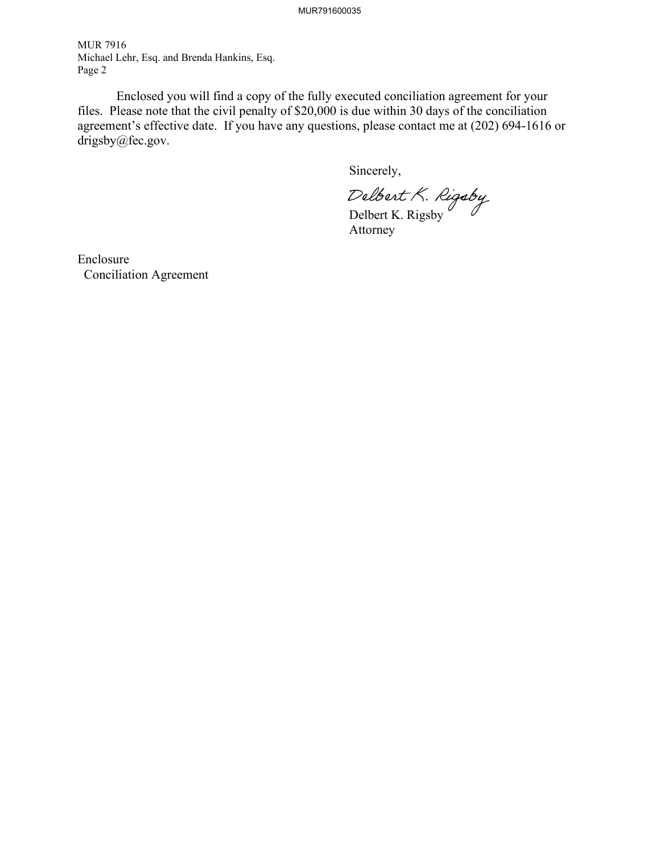MUR791600035

MUR 7916 Michael Lehr, Esq. and Brenda Hankins, Esq. Page 2

 Enclosed you will find a copy of the fully executed conciliation agreement for your files. Please note that the civil penalty of \$20,000 is due within 30 days of the conciliation agreement's effective date. If you have any questions, please contact me at (202) 694-1616 or drigsby@fec.gov.

Sincerely,

Delbert K. Rigsby

Attorney

Enclosure Conciliation Agreement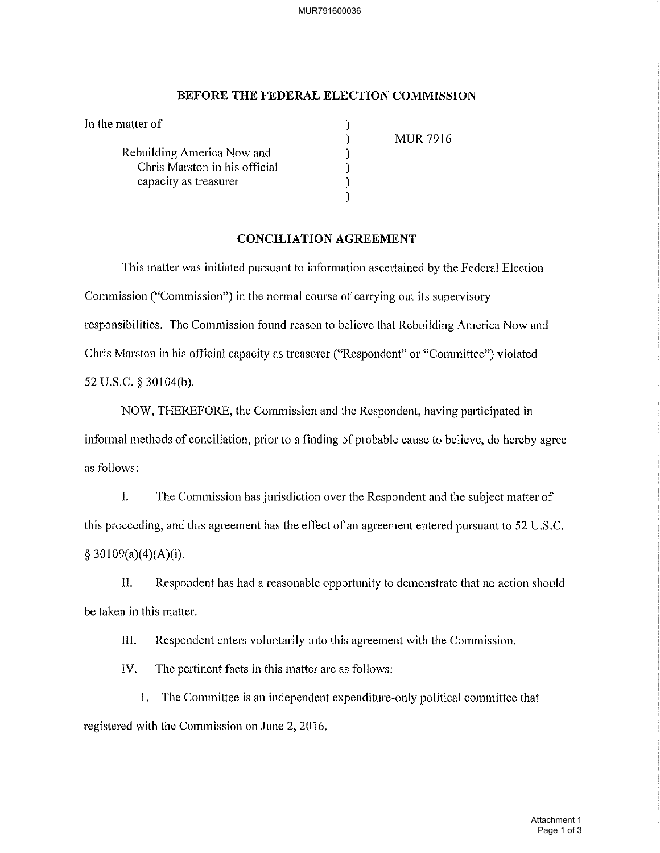MUR791600036

## BEFORE THE FEDERAL ELECTION COMMISSION

| In the matter of              |                 |
|-------------------------------|-----------------|
|                               | <b>MUR 7916</b> |
| Rebuilding America Now and    |                 |
| Chris Marston in his official |                 |
| capacity as treasurer         |                 |
|                               |                 |

## **CONCILIATION AGREEMENT**

This matter was initiated pursuant to information ascertained by the Federal Election Commission ("Commission") in the normal course of carrying out its supervisory responsibilities. The Commission found reason to believe that Rebuilding America Now and Chris Marston in his official capacity as treasurer ("Respondent" or "Committee") violated 52 U.S.C. § 30104(b).

NOW, THEREFORE, the Commission and the Respondent, having participated in informal methods of conciliation, prior to a finding of probable cause to believe, do hereby agree as follows:

 $\mathbf{L}$ The Commission has jurisdiction over the Respondent and the subject matter of this proceeding, and this agreement has the effect of an agreement entered pursuant to 52 U.S.C.  $$30109(a)(4)(A)(i).$ 

Π. Respondent has had a reasonable opportunity to demonstrate that no action should be taken in this matter.

III. Respondent enters voluntarily into this agreement with the Commission.

IV. The pertinent facts in this matter are as follows:

1. The Committee is an independent expenditure-only political committee that registered with the Commission on June 2, 2016.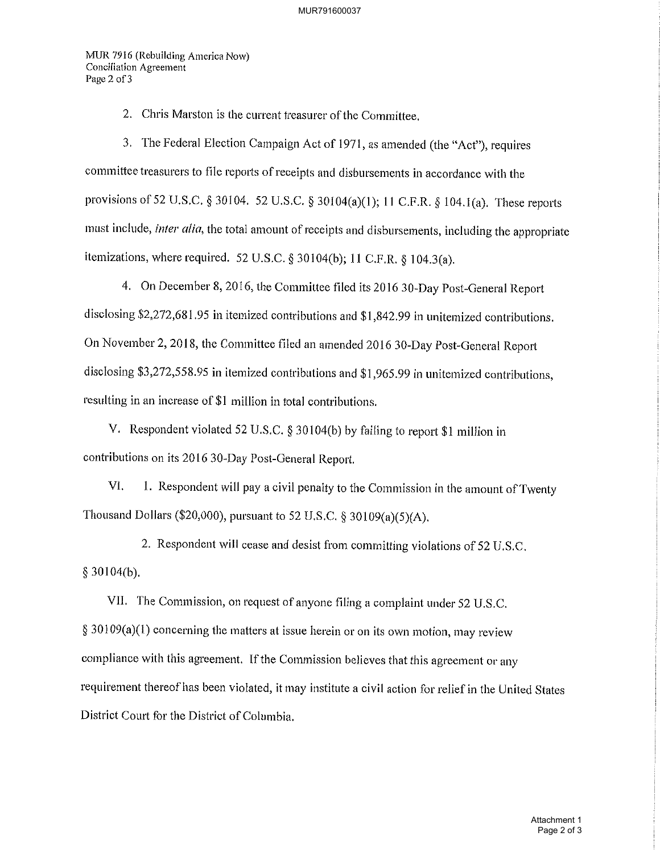MUR 7916 (Rebuilding America Now) **Conciliation Agreement** Page 2 of 3

2. Chris Marston is the current treasurer of the Committee.

3. The Federal Election Campaign Act of 1971, as amended (the "Act"), requires committee treasurers to file reports of receipts and disbursements in accordance with the provisions of 52 U.S.C. § 30104. 52 U.S.C. § 30104(a)(1); 11 C.F.R. § 104.1(a). These reports must include, *inter alia*, the total amount of receipts and disbursements, including the appropriate itemizations, where required. 52 U.S.C. § 30104(b); 11 C.F.R. § 104.3(a).

4. On December 8, 2016, the Committee filed its 2016 30-Day Post-General Report disclosing \$2,272,681.95 in itemized contributions and \$1,842.99 in unitemized contributions. On November 2, 2018, the Committee filed an amended 2016 30-Day Post-General Report disclosing \$3,272,558.95 in itemized contributions and \$1,965.99 in unitemized contributions, resulting in an increase of \$1 million in total contributions.

V. Respondent violated 52 U.S.C. § 30104(b) by failing to report \$1 million in contributions on its 2016 30-Day Post-General Report.

VI. 1. Respondent will pay a civil penalty to the Commission in the amount of Twenty Thousand Dollars (\$20,000), pursuant to 52 U.S.C. § 30109(a)(5)(A).

2. Respondent will cease and desist from committing violations of 52 U.S.C.  $§$  30104(b).

VII. The Commission, on request of anyone filing a complaint under 52 U.S.C.  $§$  30109(a)(1) concerning the matters at issue herein or on its own motion, may review compliance with this agreement. If the Commission believes that this agreement or any requirement thereof has been violated, it may institute a civil action for relief in the United States District Court for the District of Columbia.